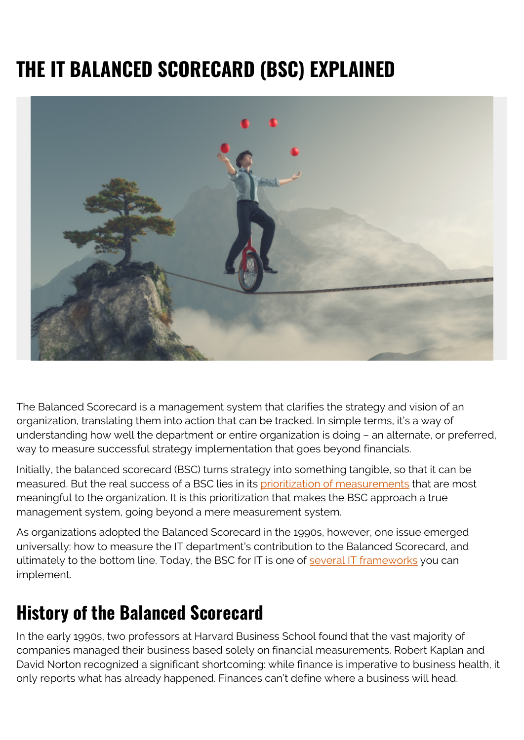# **THE IT BALANCED SCORECARD (BSC) EXPLAINED**



The Balanced Scorecard is a management system that clarifies the strategy and vision of an organization, translating them into action that can be tracked. In simple terms, it's a way of understanding how well the department or entire organization is doing – an alternate, or preferred, way to measure successful strategy implementation that goes beyond financials.

Initially, the balanced scorecard (BSC) turns strategy into something tangible, so that it can be measured. But the real success of a BSC lies in its [prioritization of measurements](https://www.bain.com/insights/management-tools-balanced-scorecard/) that are most meaningful to the organization. It is this prioritization that makes the BSC approach a true management system, going beyond a mere measurement system.

As organizations adopted the Balanced Scorecard in the 1990s, however, one issue emerged universally: how to measure the IT department's contribution to the Balanced Scorecard, and ultimately to the bottom line. Today, the BSC for IT is one of [several IT frameworks](https://www.bmc.com/blogs/strategic-framework/) you can implement.

#### **History of the Balanced Scorecard**

In the early 1990s, two professors at Harvard Business School found that the vast majority of companies managed their business based solely on financial measurements. Robert Kaplan and David Norton recognized a significant shortcoming: while finance is imperative to business health, it only reports what has already happened. Finances can't define where a business will head.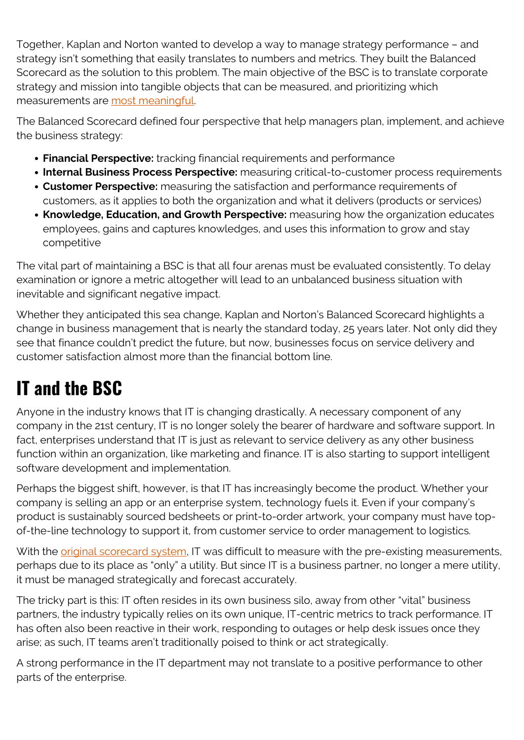Together, Kaplan and Norton wanted to develop a way to manage strategy performance – and strategy isn't something that easily translates to numbers and metrics. They built the Balanced Scorecard as the solution to this problem. The main objective of the BSC is to translate corporate strategy and mission into tangible objects that can be measured, and prioritizing which measurements are [most meaningful.](https://www.clearpointstrategy.com/thorough-list-of-balanced-scorecard-advantages-disadvantages/)

The Balanced Scorecard defined four perspective that help managers plan, implement, and achieve the business strategy:

- **Financial Perspective:** tracking financial requirements and performance
- **Internal Business Process Perspective:** measuring critical-to-customer process requirements
- **Customer Perspective:** measuring the satisfaction and performance requirements of customers, as it applies to both the organization and what it delivers (products or services)
- **Knowledge, Education, and Growth Perspective:** measuring how the organization educates employees, gains and captures knowledges, and uses this information to grow and stay competitive

The vital part of maintaining a BSC is that all four arenas must be evaluated consistently. To delay examination or ignore a metric altogether will lead to an unbalanced business situation with inevitable and significant negative impact.

Whether they anticipated this sea change, Kaplan and Norton's Balanced Scorecard highlights a change in business management that is nearly the standard today, 25 years later. Not only did they see that finance couldn't predict the future, but now, businesses focus on service delivery and customer satisfaction almost more than the financial bottom line.

## **IT and the BSC**

Anyone in the industry knows that IT is changing drastically. A necessary component of any company in the 21st century, IT is no longer solely the bearer of hardware and software support. In fact, enterprises understand that IT is just as relevant to service delivery as any other business function within an organization, like marketing and finance. IT is also starting to support intelligent software development and implementation.

Perhaps the biggest shift, however, is that IT has increasingly become the product. Whether your company is selling an app or an enterprise system, technology fuels it. Even if your company's product is sustainably sourced bedsheets or print-to-order artwork, your company must have topof-the-line technology to support it, from customer service to order management to logistics.

With the *original scorecard system*, IT was difficult to measure with the pre-existing measurements, perhaps due to its place as "only" a utility. But since IT is a business partner, no longer a mere utility, it must be managed strategically and forecast accurately.

The tricky part is this: IT often resides in its own business silo, away from other "vital" business partners, the industry typically relies on its own unique, IT-centric metrics to track performance. IT has often also been reactive in their work, responding to outages or help desk issues once they arise; as such, IT teams aren't traditionally poised to think or act strategically.

A strong performance in the IT department may not translate to a positive performance to other parts of the enterprise.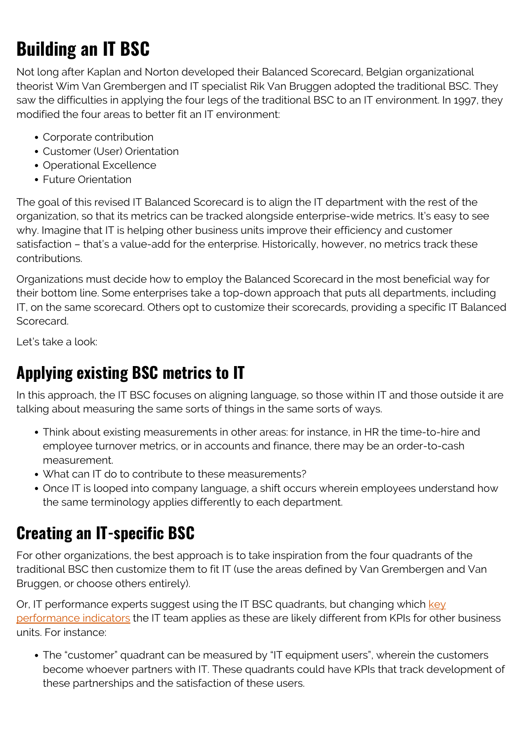## **Building an IT BSC**

Not long after Kaplan and Norton developed their Balanced Scorecard, Belgian organizational theorist Wim Van Grembergen and IT specialist Rik Van Bruggen adopted the traditional BSC. They saw the difficulties in applying the four legs of the traditional BSC to an IT environment. In 1997, they modified the four areas to better fit an IT environment:

- Corporate contribution
- Customer (User) Orientation
- Operational Excellence
- Future Orientation

The goal of this revised IT Balanced Scorecard is to align the IT department with the rest of the organization, so that its metrics can be tracked alongside enterprise-wide metrics. It's easy to see why. Imagine that IT is helping other business units improve their efficiency and customer satisfaction – that's a value-add for the enterprise. Historically, however, no metrics track these contributions.

Organizations must decide how to employ the Balanced Scorecard in the most beneficial way for their bottom line. Some enterprises take a top-down approach that puts all departments, including IT, on the same scorecard. Others opt to customize their scorecards, providing a specific IT Balanced Scorecard.

Let's take a look:

#### **Applying existing BSC metrics to IT**

In this approach, the IT BSC focuses on aligning language, so those within IT and those outside it are talking about measuring the same sorts of things in the same sorts of ways.

- Think about existing measurements in other areas: for instance, in HR the time-to-hire and employee turnover metrics, or in accounts and finance, there may be an order-to-cash measurement.
- What can IT do to contribute to these measurements?
- Once IT is looped into company language, a shift occurs wherein employees understand how the same terminology applies differently to each department.

#### **Creating an IT-specific BSC**

For other organizations, the best approach is to take inspiration from the four quadrants of the traditional BSC then customize them to fit IT (use the areas defined by Van Grembergen and Van Bruggen, or choose others entirely).

Or, IT performance experts suggest using the IT BSC quadrants, but changing which [key](https://www.bmc.com/blogs/sla-vs-kpi/) [performance indicators](https://www.bmc.com/blogs/sla-vs-kpi/) the IT team applies as these are likely different from KPIs for other business units. For instance:

The "customer" quadrant can be measured by "IT equipment users", wherein the customers become whoever partners with IT. These quadrants could have KPIs that track development of these partnerships and the satisfaction of these users.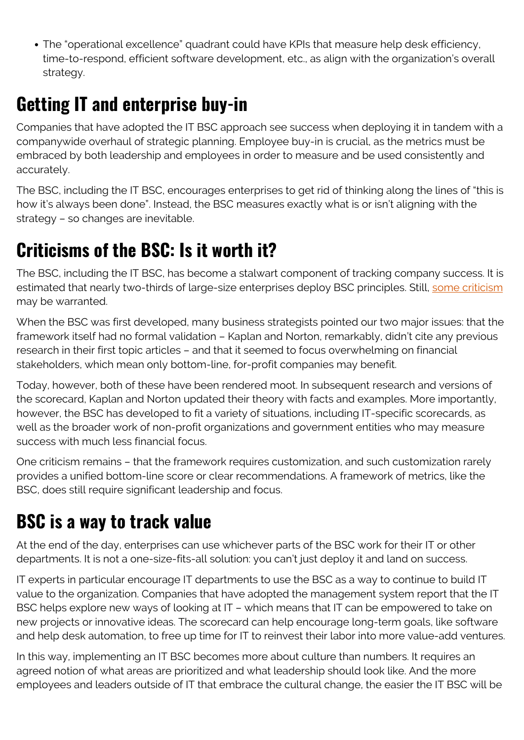The "operational excellence" quadrant could have KPIs that measure help desk efficiency, time-to-respond, efficient software development, etc., as align with the organization's overall strategy.

### **Getting IT and enterprise buy-in**

Companies that have adopted the IT BSC approach see success when deploying it in tandem with a companywide overhaul of strategic planning. Employee buy-in is crucial, as the metrics must be embraced by both leadership and employees in order to measure and be used consistently and accurately.

The BSC, including the IT BSC, encourages enterprises to get rid of thinking along the lines of "this is how it's always been done". Instead, the BSC measures exactly what is or isn't aligning with the strategy – so changes are inevitable.

## **Criticisms of the BSC: Is it worth it?**

The BSC, including the IT BSC, has become a stalwart component of tracking company success. It is estimated that nearly two-thirds of large-size enterprises deploy BSC principles. Still, [some criticism](https://bizfluent.com/about-5373424-problems-balanced-scorecard.html) may be warranted.

When the BSC was first developed, many business strategists pointed our two major issues: that the framework itself had no formal validation – Kaplan and Norton, remarkably, didn't cite any previous research in their first topic articles – and that it seemed to focus overwhelming on financial stakeholders, which mean only bottom-line, for-profit companies may benefit.

Today, however, both of these have been rendered moot. In subsequent research and versions of the scorecard, Kaplan and Norton updated their theory with facts and examples. More importantly, however, the BSC has developed to fit a variety of situations, including IT-specific scorecards, as well as the broader work of non-profit organizations and government entities who may measure success with much less financial focus.

One criticism remains – that the framework requires customization, and such customization rarely provides a unified bottom-line score or clear recommendations. A framework of metrics, like the BSC, does still require significant leadership and focus.

### **BSC is a way to track value**

At the end of the day, enterprises can use whichever parts of the BSC work for their IT or other departments. It is not a one-size-fits-all solution: you can't just deploy it and land on success.

IT experts in particular encourage IT departments to use the BSC as a way to continue to build IT value to the organization. Companies that have adopted the management system report that the IT BSC helps explore new ways of looking at IT – which means that IT can be empowered to take on new projects or innovative ideas. The scorecard can help encourage long-term goals, like software and help desk automation, to free up time for IT to reinvest their labor into more value-add ventures.

In this way, implementing an IT BSC becomes more about culture than numbers. It requires an agreed notion of what areas are prioritized and what leadership should look like. And the more employees and leaders outside of IT that embrace the cultural change, the easier the IT BSC will be